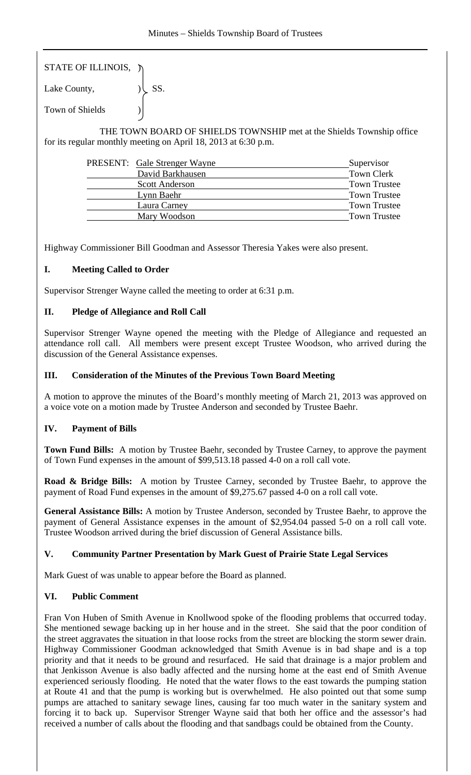STATE OF ILLINOIS, )

Lake County,  $|\text{SS}|$ . Town of Shields )

 THE TOWN BOARD OF SHIELDS TOWNSHIP met at the Shields Township office for its regular monthly meeting on April 18, 2013 at 6:30 p.m.

| <b>PRESENT:</b> Gale Strenger Wayne | Supervisor          |
|-------------------------------------|---------------------|
| David Barkhausen                    | <b>Town Clerk</b>   |
| <b>Scott Anderson</b>               | <b>Town Trustee</b> |
| Lynn Baehr                          | <b>Town Trustee</b> |
| Laura Carney                        | <b>Town Trustee</b> |
| Mary Woodson                        | <b>Town Trustee</b> |

Highway Commissioner Bill Goodman and Assessor Theresia Yakes were also present.

# **I. Meeting Called to Order**

Supervisor Strenger Wayne called the meeting to order at 6:31 p.m.

### **II. Pledge of Allegiance and Roll Call**

Supervisor Strenger Wayne opened the meeting with the Pledge of Allegiance and requested an attendance roll call. All members were present except Trustee Woodson, who arrived during the discussion of the General Assistance expenses.

### **III. Consideration of the Minutes of the Previous Town Board Meeting**

A motion to approve the minutes of the Board's monthly meeting of March 21, 2013 was approved on a voice vote on a motion made by Trustee Anderson and seconded by Trustee Baehr.

# **IV. Payment of Bills**

**Town Fund Bills:** A motion by Trustee Baehr, seconded by Trustee Carney, to approve the payment of Town Fund expenses in the amount of \$99,513.18 passed 4-0 on a roll call vote.

**Road & Bridge Bills:** A motion by Trustee Carney, seconded by Trustee Baehr, to approve the payment of Road Fund expenses in the amount of \$9,275.67 passed 4-0 on a roll call vote.

**General Assistance Bills:** A motion by Trustee Anderson, seconded by Trustee Baehr, to approve the payment of General Assistance expenses in the amount of \$2,954.04 passed 5-0 on a roll call vote. Trustee Woodson arrived during the brief discussion of General Assistance bills.

# **V. Community Partner Presentation by Mark Guest of Prairie State Legal Services**

Mark Guest of was unable to appear before the Board as planned.

# **VI. Public Comment**

Fran Von Huben of Smith Avenue in Knollwood spoke of the flooding problems that occurred today. She mentioned sewage backing up in her house and in the street. She said that the poor condition of the street aggravates the situation in that loose rocks from the street are blocking the storm sewer drain. Highway Commissioner Goodman acknowledged that Smith Avenue is in bad shape and is a top priority and that it needs to be ground and resurfaced. He said that drainage is a major problem and that Jenkisson Avenue is also badly affected and the nursing home at the east end of Smith Avenue experienced seriously flooding. He noted that the water flows to the east towards the pumping station at Route 41 and that the pump is working but is overwhelmed. He also pointed out that some sump pumps are attached to sanitary sewage lines, causing far too much water in the sanitary system and forcing it to back up. Supervisor Strenger Wayne said that both her office and the assessor's had received a number of calls about the flooding and that sandbags could be obtained from the County.